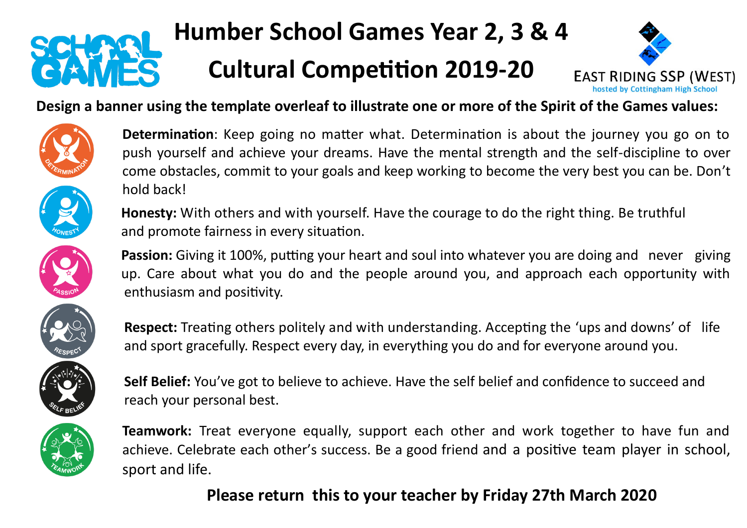

# **Humber School Games Year 2, 3 & 4**

## **Cultural Competition 2019-20**



#### **Design a banner using the template overleaf to illustrate one or more of the Spirit of the Games values:**









**Determination**: Keep going no matter what. Determination is about the journey you go on to push yourself and achieve your dreams. Have the mental strength and the self-discipline to over come obstacles, commit to your goals and keep working to become the very best you can be. Don't hold back!

**Honesty:** With others and with yourself. Have the courage to do the right thing. Be truthful and promote fairness in every situation.

**Passion:** Giving it 100%, putting your heart and soul into whatever you are doing and never giving up. Care about what you do and the people around you, and approach each opportunity with enthusiasm and positivity.

**Respect:** Treating others politely and with understanding. Accepting the 'ups and downs' of life and sport gracefully. Respect every day, in everything you do and for everyone around you.

**Self Belief:** You've got to believe to achieve. Have the self belief and confidence to succeed and reach your personal best.

**Teamwork:** Treat everyone equally, support each other and work together to have fun and achieve. Celebrate each other's success. Be a good friend and a positive team player in school, sport and life.

### **Please return this to your teacher by Friday 27th March 2020**